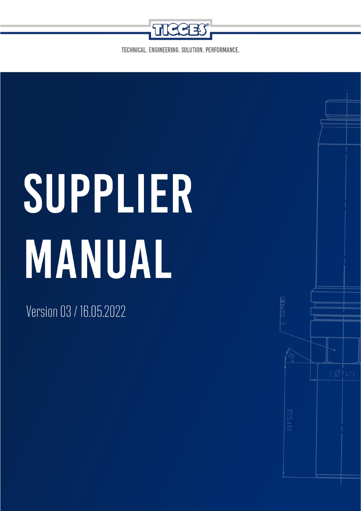

TECHNICAL, ENGINEERING, SOLUTION, PERFORMANCE,

# SUPPLIER MANUAL

**Supplier Manual of the Tigges Group**

Version 03 / 16.05.2022

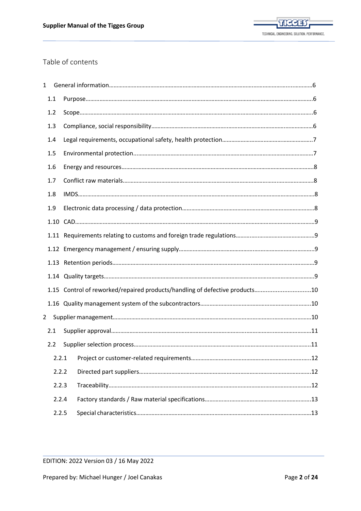

# <span id="page-1-0"></span>Table of contents

| $\mathbf 1$  |       |                                                                             |  |
|--------------|-------|-----------------------------------------------------------------------------|--|
|              | 1.1   |                                                                             |  |
|              | 1.2   |                                                                             |  |
|              | 1.3   |                                                                             |  |
|              | 1.4   |                                                                             |  |
|              | 1.5   |                                                                             |  |
|              | 1.6   |                                                                             |  |
|              | 1.7   |                                                                             |  |
|              | 1.8   |                                                                             |  |
|              | 1.9   |                                                                             |  |
|              |       |                                                                             |  |
|              |       |                                                                             |  |
|              |       |                                                                             |  |
|              |       |                                                                             |  |
|              |       |                                                                             |  |
|              |       | 1.15 Control of reworked/repaired products/handling of defective products10 |  |
|              |       |                                                                             |  |
| $\mathbf{2}$ |       |                                                                             |  |
|              | 2.1   |                                                                             |  |
|              | 2.2   |                                                                             |  |
|              | 2.2.1 |                                                                             |  |
|              | 2.2.2 |                                                                             |  |
|              | 2.2.3 |                                                                             |  |
|              | 2.2.4 |                                                                             |  |
|              | 2.2.5 |                                                                             |  |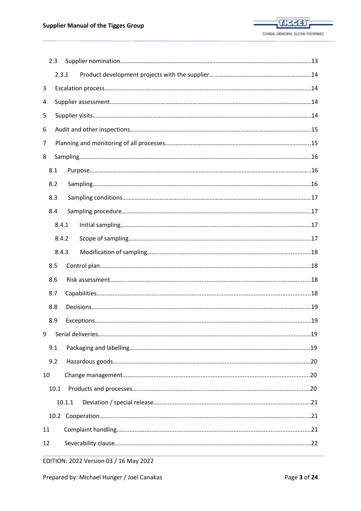|    | 2.3  |        |  |  |  |  |
|----|------|--------|--|--|--|--|
|    |      | 2.3.1  |  |  |  |  |
| 3  |      |        |  |  |  |  |
| 4  |      |        |  |  |  |  |
| 5  |      |        |  |  |  |  |
| 6  |      |        |  |  |  |  |
| 7  |      |        |  |  |  |  |
| 8  |      |        |  |  |  |  |
|    | 8.1  |        |  |  |  |  |
|    | 8.2  |        |  |  |  |  |
|    | 8.3  |        |  |  |  |  |
|    | 8.4  |        |  |  |  |  |
|    |      | 8.4.1  |  |  |  |  |
|    |      | 8.4.2  |  |  |  |  |
|    |      | 8.4.3  |  |  |  |  |
|    | 8.5  |        |  |  |  |  |
|    | 8.6  |        |  |  |  |  |
|    | 8.7  |        |  |  |  |  |
|    | 8.8  |        |  |  |  |  |
|    | 8.9  |        |  |  |  |  |
| 9  |      |        |  |  |  |  |
|    | 9.1  |        |  |  |  |  |
|    | 9.2  |        |  |  |  |  |
| 10 |      |        |  |  |  |  |
|    | 10.1 |        |  |  |  |  |
|    |      | 10.1.1 |  |  |  |  |
|    |      |        |  |  |  |  |
| 11 |      |        |  |  |  |  |
| 12 |      |        |  |  |  |  |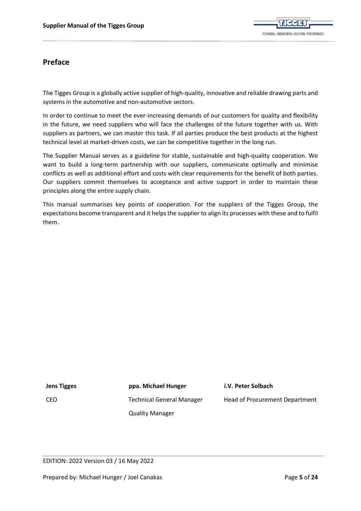

# **Preface**

The Tigges Group is a globally active supplier of high-quality, innovative and reliable drawing parts and systems in the automotive and non-automotive sectors.

In order to continue to meet the ever-increasing demands of our customers for quality and flexibility in the future, we need suppliers who will face the challenges of the future together with us. With suppliers as partners, we can master this task. If all parties produce the best products at the highest technical level at market-driven costs, we can be competitive together in the long run.

The Supplier Manual serves as a guideline for stable, sustainable and high-quality cooperation. We want to build a long-term partnership with our suppliers, communicate optimally and minimise conflicts as well as additional effort and costs with clear requirements for the benefit of both parties. Our suppliers commit themselves to acceptance and active support in order to maintain these principles along the entire supply chain.

This manual summarises key points of cooperation. For the suppliers of the Tigges Group, the expectations become transparent and it helps the supplier to align its processes with these and to fulfil them.

**Jens Tigges ppa. Michael Hunger i.V. Peter Solbach**

 CEO Technical General Manager Head of Procurement Department Quality Manager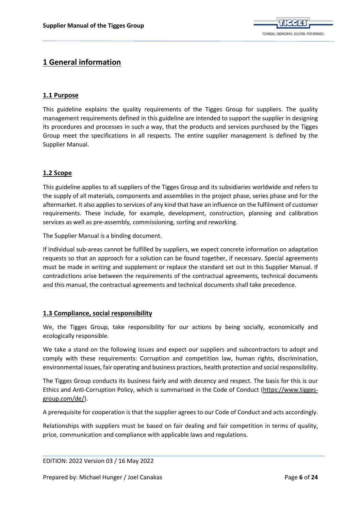

# <span id="page-5-0"></span>**[1 General information](#page-1-0)**

## <span id="page-5-1"></span>**[1.1 Purpose](#page-1-0)**

This guideline explains the quality requirements of the Tigges Group for suppliers. The quality management requirements defined in this guideline are intended to support the supplier in designing its procedures and processes in such a way, that the products and services purchased by the Tigges Group meet the specifications in all respects. The entire supplier management is defined by the Supplier Manual.

## <span id="page-5-2"></span>**[1.2 Scope](#page-1-0)**

This guideline applies to all suppliers of the Tigges Group and its subsidiaries worldwide and refers to the supply of all materials, components and assemblies in the project phase, series phase and for the aftermarket. It also applies to services of any kind that have an influence on the fulfilment of customer requirements. These include, for example, development, construction, planning and calibration services as well as pre-assembly, commissioning, sorting and reworking.

The Supplier Manual is a binding document.

If individual sub-areas cannot be fulfilled by suppliers, we expect concrete information on adaptation requests so that an approach for a solution can be found together, if necessary. Special agreements must be made in writing and supplement or replace the standard set out in this Supplier Manual. If contradictions arise between the requirements of the contractual agreements, technical documents and this manual, the contractual agreements and technical documents shall take precedence.

## <span id="page-5-3"></span>**[1.3 Compliance, social responsibility](#page-1-0)**

We, the Tigges Group, take responsibility for our actions by being socially, economically and ecologically responsible.

We take a stand on the following issues and expect our suppliers and subcontractors to adopt and comply with these requirements: Corruption and competition law, human rights, discrimination, environmental issues, fair operating and business practices, health protection and social responsibility.

The Tigges Group conducts its business fairly and with decency and respect. The basis for this is our Ethics and Anti-Corruption Policy, which is summarised in the Code of Conduct [\(https://www.tigges](https://www.tigges-group.com/de/)[group.com/de/\)](https://www.tigges-group.com/de/).

A prerequisite for cooperation is that the supplier agrees to our Code of Conduct and acts accordingly.

Relationships with suppliers must be based on fair dealing and fair competition in terms of quality, price, communication and compliance with applicable laws and regulations.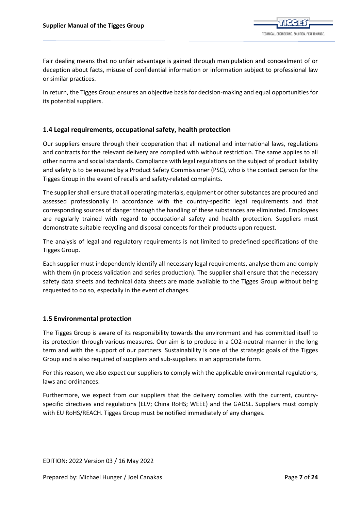Fair dealing means that no unfair advantage is gained through manipulation and concealment of or deception about facts, misuse of confidential information or information subject to professional law or similar practices.

In return, the Tigges Group ensures an objective basis for decision-making and equal opportunities for its potential suppliers.

## <span id="page-6-0"></span>**[1.4 Legal requirements, occupational safety, health protection](#page-1-0)**

Our suppliers ensure through their cooperation that all national and international laws, regulations and contracts for the relevant delivery are complied with without restriction. The same applies to all other norms and social standards. Compliance with legal regulations on the subject of product liability and safety is to be ensured by a Product Safety Commissioner (PSC), who is the contact person for the Tigges Group in the event of recalls and safety-related complaints.

The supplier shall ensure that all operating materials, equipment or other substances are procured and assessed professionally in accordance with the country-specific legal requirements and that corresponding sources of danger through the handling of these substances are eliminated. Employees are regularly trained with regard to occupational safety and health protection. Suppliers must demonstrate suitable recycling and disposal concepts for their products upon request.

The analysis of legal and regulatory requirements is not limited to predefined specifications of the Tigges Group.

Each supplier must independently identify all necessary legal requirements, analyse them and comply with them (in process validation and series production). The supplier shall ensure that the necessary safety data sheets and technical data sheets are made available to the Tigges Group without being requested to do so, especially in the event of changes.

## <span id="page-6-1"></span>**[1.5 Environmental protection](#page-1-0)**

The Tigges Group is aware of its responsibility towards the environment and has committed itself to its protection through various measures. Our aim is to produce in a CO2-neutral manner in the long term and with the support of our partners. Sustainability is one of the strategic goals of the Tigges Group and is also required of suppliers and sub-suppliers in an appropriate form.

For this reason, we also expect our suppliers to comply with the applicable environmental regulations, laws and ordinances.

Furthermore, we expect from our suppliers that the delivery complies with the current, countryspecific directives and regulations (ELV; China RoHS; WEEE) and the GADSL. Suppliers must comply with EU RoHS/REACH. Tigges Group must be notified immediately of any changes.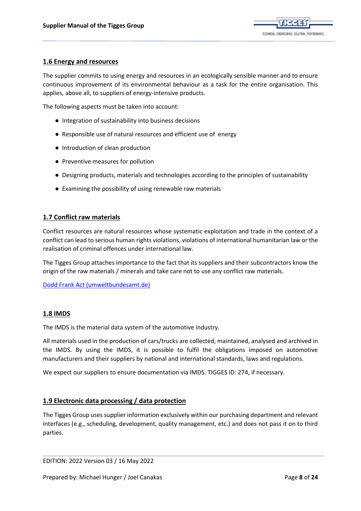

### <span id="page-7-0"></span>**[1.6 Energy and resources](#page-1-0)**

The supplier commits to using energy and resources in an ecologically sensible manner and to ensure continuous improvement of its environmental behaviour as a task for the entire organisation. This applies, above all, to suppliers of energy-intensive products.

The following aspects must be taken into account:

- Integration of sustainability into business decisions
- Responsible use of natural resources and efficient use of energy
- Introduction of clean production
- Preventive measures for pollution
- Designing products, materials and technologies according to the principles of sustainability
- Examining the possibility of using renewable raw materials

#### **[1.7 Conflict raw materials](#page-1-0)**

Conflict resources are natural resources whose systematic exploitation and trade in the context of a conflict can lead to serious human rights violations, violations of international humanitarian law or the realisation of criminal offences under international law.

The Tigges Group attaches importance to the fact that its suppliers and their subcontractors know the origin of the raw materials / minerals and take care not to use any conflict raw materials.

[Dodd Frank Act \(umweltbundesamt.de\)](https://www.umweltbundesamt.de/sites/default/files/medien/378/dokumente/umsoress_kurzsteckbrief_dfa_final.pdf)

#### <span id="page-7-1"></span>**[1.8 IMDS](#page-1-0)**

The IMDS is the material data system of the automotive industry.

All materials used in the production of cars/trucks are collected, maintained, analysed and archived in the IMDS. By using the IMDS, it is possible to fulfil the obligations imposed on automotive manufacturers and their suppliers by national and international standards, laws and regulations.

We expect our suppliers to ensure documentation via IMDS. TIGGES ID: 274, if necessary.

#### <span id="page-7-2"></span>**[1.9 Electronic data processing / data protection](#page-1-0)**

The Tigges Group uses supplier information exclusively within our purchasing department and relevant interfaces (e.g., scheduling, development, quality management, etc.) and does not pass it on to third parties.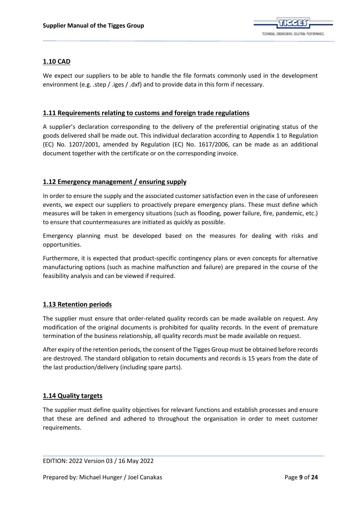

## <span id="page-8-0"></span>**[1.10 CAD](#page-1-0)**

We expect our suppliers to be able to handle the file formats commonly used in the development environment (e.g. .step / .iges / .dxf) and to provide data in this form if necessary.

#### <span id="page-8-1"></span>**[1.11 Requirements relating to customs and foreign trade regulations](#page-1-0)**

A supplier's declaration corresponding to the delivery of the preferential originating status of the goods delivered shall be made out. This individual declaration according to Appendix 1 to Regulation (EC) No. 1207/2001, amended by Regulation (EC) No. 1617/2006, can be made as an additional document together with the certificate or on the corresponding invoice.

## <span id="page-8-2"></span>**[1.12 Emergency management / ensuring supply](#page-1-0)**

In order to ensure the supply and the associated customer satisfaction even in the case of unforeseen events, we expect our suppliers to proactively prepare emergency plans. These must define which measures will be taken in emergency situations (such as flooding, power failure, fire, pandemic, etc.) to ensure that countermeasures are initiated as quickly as possible.

Emergency planning must be developed based on the measures for dealing with risks and opportunities.

Furthermore, it is expected that product-specific contingency plans or even concepts for alternative manufacturing options (such as machine malfunction and failure) are prepared in the course of the feasibility analysis and can be viewed if required.

## <span id="page-8-3"></span>**[1.13 Retention periods](#page-1-0)**

The supplier must ensure that order-related quality records can be made available on request. Any modification of the original documents is prohibited for quality records. In the event of premature termination of the business relationship, all quality records must be made available on request.

After expiry of the retention periods, the consent of the Tigges Group must be obtained before records are destroyed. The standard obligation to retain documents and records is 15 years from the date of the last production/delivery (including spare parts).

## <span id="page-8-4"></span>**[1.14 Quality targets](#page-1-0)**

The supplier must define quality objectives for relevant functions and establish processes and ensure that these are defined and adhered to throughout the organisation in order to meet customer requirements.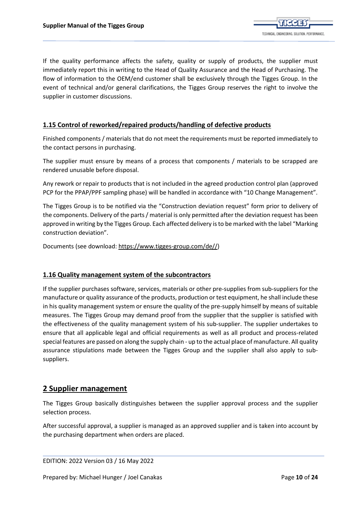If the quality performance affects the safety, quality or supply of products, the supplier must immediately report this in writing to the Head of Quality Assurance and the Head of Purchasing. The flow of information to the OEM/end customer shall be exclusively through the Tigges Group. In the event of technical and/or general clarifications, the Tigges Group reserves the right to involve the supplier in customer discussions.

## <span id="page-9-0"></span>**1.15 Control [of reworked/repaired products/handling of defective products](#page-1-0)**

Finished components / materials that do not meet the requirements must be reported immediately to the contact persons in purchasing.

The supplier must ensure by means of a process that components / materials to be scrapped are rendered unusable before disposal.

Any rework or repair to products that is not included in the agreed production control plan (approved PCP for the PPAP/PPF sampling phase) will be handled in accordance with "10 Change Management".

The Tigges Group is to be notified via the "Construction deviation request" form prior to delivery of the components. Delivery of the parts / material is only permitted after the deviation request has been approved in writing by the Tigges Group. Each affected delivery is to be marked with the label "Marking construction deviation".

Documents (see download[: https://www.tigges-group.com/de//](https://www.tigges-group.com/de/))

## <span id="page-9-1"></span>**[1.16 Quality management system of the subcontractors](#page-1-0)**

If the supplier purchases software, services, materials or other pre-supplies from sub-suppliers for the manufacture or quality assurance of the products, production or test equipment, he shall include these in his quality management system or ensure the quality of the pre-supply himself by means of suitable measures. The Tigges Group may demand proof from the supplier that the supplier is satisfied with the effectiveness of the quality management system of his sub-supplier. The supplier undertakes to ensure that all applicable legal and official requirements as well as all product and process-related special features are passed on along the supply chain - up to the actual place of manufacture. All quality assurance stipulations made between the Tigges Group and the supplier shall also apply to subsuppliers.

## <span id="page-9-2"></span>**[2 Supplier management](#page-1-0)**

The Tigges Group basically distinguishes between the supplier approval process and the supplier selection process.

After successful approval, a supplier is managed as an approved supplier and is taken into account by the purchasing department when orders are placed.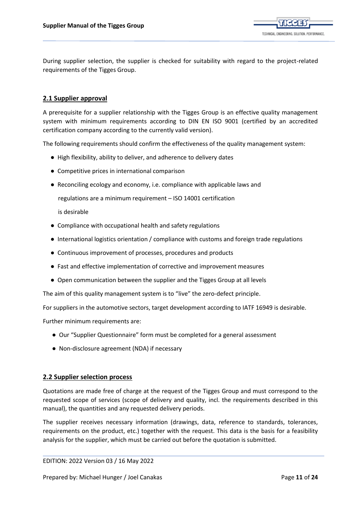

During supplier selection, the supplier is checked for suitability with regard to the project-related requirements of the Tigges Group.

## <span id="page-10-0"></span>**[2.1 Supplier approval](#page-1-0)**

A prerequisite for a supplier relationship with the Tigges Group is an effective quality management system with minimum requirements according to DIN EN ISO 9001 (certified by an accredited certification company according to the currently valid version).

The following requirements should confirm the effectiveness of the quality management system:

- High flexibility, ability to deliver, and adherence to delivery dates
- Competitive prices in international comparison
- Reconciling ecology and economy, i.e. compliance with applicable laws and

regulations are a minimum requirement – ISO 14001 certification

is desirable

- Compliance with occupational health and safety regulations
- International logistics orientation / compliance with customs and foreign trade regulations
- Continuous improvement of processes, procedures and products
- Fast and effective implementation of corrective and improvement measures
- Open communication between the supplier and the Tigges Group at all levels

The aim of this quality management system is to "live" the zero-defect principle.

For suppliers in the automotive sectors, target development according to IATF 16949 is desirable.

Further minimum requirements are:

- Our "Supplier Questionnaire" form must be completed for a general assessment
- Non-disclosure agreement (NDA) if necessary

#### <span id="page-10-1"></span>**[2.2 Supplier selection process](#page-1-0)**

Quotations are made free of charge at the request of the Tigges Group and must correspond to the requested scope of services (scope of delivery and quality, incl. the requirements described in this manual), the quantities and any requested delivery periods.

The supplier receives necessary information (drawings, data, reference to standards, tolerances, requirements on the product, etc.) together with the request. This data is the basis for a feasibility analysis for the supplier, which must be carried out before the quotation is submitted.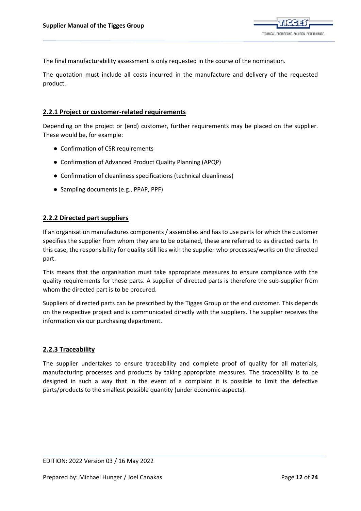The final manufacturability assessment is only requested in the course of the nomination.

The quotation must include all costs incurred in the manufacture and delivery of the requested product.

#### <span id="page-11-0"></span>**[2.2.1 Project or customer-related requirements](#page-1-0)**

Depending on the project or (end) customer, further requirements may be placed on the supplier. These would be, for example:

- Confirmation of CSR requirements
- Confirmation of Advanced Product Quality Planning (APQP)
- Confirmation of cleanliness specifications (technical cleanliness)
- Sampling documents (e.g., PPAP, PPF)

## <span id="page-11-1"></span>**[2.2.2 Directed part suppliers](#page-1-0)**

If an organisation manufactures components / assemblies and has to use parts for which the customer specifies the supplier from whom they are to be obtained, these are referred to as directed parts. In this case, the responsibility for quality still lies with the supplier who processes/works on the directed part.

This means that the organisation must take appropriate measures to ensure compliance with the quality requirements for these parts. A supplier of directed parts is therefore the sub-supplier from whom the directed part is to be procured.

Suppliers of directed parts can be prescribed by the Tigges Group or the end customer. This depends on the respective project and is communicated directly with the suppliers. The supplier receives the information via our purchasing department.

## <span id="page-11-2"></span>**[2.2.3 Traceability](#page-1-0)**

The supplier undertakes to ensure traceability and complete proof of quality for all materials, manufacturing processes and products by taking appropriate measures. The traceability is to be designed in such a way that in the event of a complaint it is possible to limit the defective parts/products to the smallest possible quantity (under economic aspects).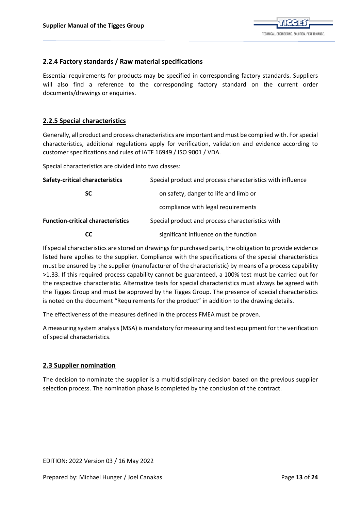## <span id="page-12-0"></span>**[2.2.4 Factory standards / Raw material specifications](#page-1-0)**

Essential requirements for products may be specified in corresponding factory standards. Suppliers will also find a reference to the corresponding factory standard on the current order documents/drawings or enquiries.

## <span id="page-12-1"></span>**[2.2.5 Special characteristics](#page-1-0)**

Generally, all product and process characteristics are important and must be complied with. For special characteristics, additional regulations apply for verification, validation and evidence according to customer specifications and rules of IATF 16949 / ISO 9001 / VDA.

Special characteristics are divided into two classes:

| <b>Safety-critical characteristics</b>   | Special product and process characteristics with influence |  |  |
|------------------------------------------|------------------------------------------------------------|--|--|
| <b>SC</b>                                | on safety, danger to life and limb or                      |  |  |
|                                          | compliance with legal requirements                         |  |  |
| <b>Function-critical characteristics</b> | Special product and process characteristics with           |  |  |
| CС                                       | significant influence on the function                      |  |  |

If special characteristics are stored on drawings for purchased parts, the obligation to provide evidence listed here applies to the supplier. Compliance with the specifications of the special characteristics must be ensured by the supplier (manufacturer of the characteristic) by means of a process capability >1.33. If this required process capability cannot be guaranteed, a 100% test must be carried out for the respective characteristic. Alternative tests for special characteristics must always be agreed with the Tigges Group and must be approved by the Tigges Group. The presence of special characteristics is noted on the document "Requirements for the product" in addition to the drawing details.

The effectiveness of the measures defined in the process FMEA must be proven.

A measuring system analysis (MSA) is mandatory for measuring and test equipment for the verification of special characteristics.

## <span id="page-12-2"></span>**[2.3 Supplier nomination](#page-1-0)**

The decision to nominate the supplier is a multidisciplinary decision based on the previous supplier selection process. The nomination phase is completed by the conclusion of the contract.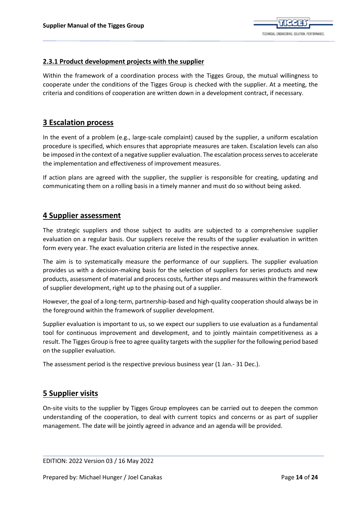

## <span id="page-13-0"></span>**[2.3.1 Product development projects with the supplier](#page-1-0)**

Within the framework of a coordination process with the Tigges Group, the mutual willingness to cooperate under the conditions of the Tigges Group is checked with the supplier. At a meeting, the criteria and conditions of cooperation are written down in a development contract, if necessary.

## <span id="page-13-1"></span>**[3 Escalation process](#page-1-0)**

In the event of a problem (e.g., large-scale complaint) caused by the supplier, a uniform escalation procedure is specified, which ensures that appropriate measures are taken. Escalation levels can also be imposed in the context of a negative supplier evaluation. The escalation process serves to accelerate the implementation and effectiveness of improvement measures.

If action plans are agreed with the supplier, the supplier is responsible for creating, updating and communicating them on a rolling basis in a timely manner and must do so without being asked.

## <span id="page-13-2"></span>**[4 Supplier assessment](#page-1-0)**

The strategic suppliers and those subject to audits are subjected to a comprehensive supplier evaluation on a regular basis. Our suppliers receive the results of the supplier evaluation in written form every year. The exact evaluation criteria are listed in the respective annex.

The aim is to systematically measure the performance of our suppliers. The supplier evaluation provides us with a decision-making basis for the selection of suppliers for series products and new products, assessment of material and process costs, further steps and measures within the framework of supplier development, right up to the phasing out of a supplier.

However, the goal of a long-term, partnership-based and high-quality cooperation should always be in the foreground within the framework of supplier development.

Supplier evaluation is important to us, so we expect our suppliers to use evaluation as a fundamental tool for continuous improvement and development, and to jointly maintain competitiveness as a result. The Tigges Group is free to agree quality targets with the supplier for the following period based on the supplier evaluation.

The assessment period is the respective previous business year (1 Jan.- 31 Dec.).

# <span id="page-13-3"></span>**[5 Supplier visits](#page-1-0)**

On-site visits to the supplier by Tigges Group employees can be carried out to deepen the common understanding of the cooperation, to deal with current topics and concerns or as part of supplier management. The date will be jointly agreed in advance and an agenda will be provided.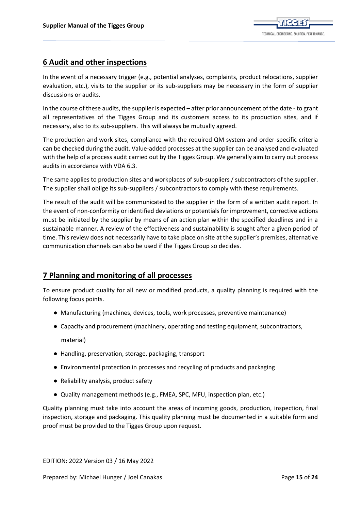

# <span id="page-14-0"></span>**[6 Audit and other inspections](#page-1-0)**

In the event of a necessary trigger (e.g., potential analyses, complaints, product relocations, supplier evaluation, etc.), visits to the supplier or its sub-suppliers may be necessary in the form of supplier discussions or audits.

In the course of these audits, the supplier is expected – after prior announcement of the date - to grant all representatives of the Tigges Group and its customers access to its production sites, and if necessary, also to its sub-suppliers. This will always be mutually agreed.

The production and work sites, compliance with the required QM system and order-specific criteria can be checked during the audit. Value-added processes at the supplier can be analysed and evaluated with the help of a process audit carried out by the Tigges Group. We generally aim to carry out process audits in accordance with VDA 6.3.

The same applies to production sites and workplaces of sub-suppliers / subcontractors of the supplier. The supplier shall oblige its sub-suppliers / subcontractors to comply with these requirements.

The result of the audit will be communicated to the supplier in the form of a written audit report. In the event of non-conformity or identified deviations or potentials for improvement, corrective actions must be initiated by the supplier by means of an action plan within the specified deadlines and in a sustainable manner. A review of the effectiveness and sustainability is sought after a given period of time. This review does not necessarily have to take place on site at the supplier's premises, alternative communication channels can also be used if the Tigges Group so decides.

# <span id="page-14-1"></span>**[7 Planning and monitoring of all processes](#page-1-0)**

To ensure product quality for all new or modified products, a quality planning is required with the following focus points.

- Manufacturing (machines, devices, tools, work processes, preventive maintenance)
- Capacity and procurement (machinery, operating and testing equipment, subcontractors, material)
- Handling, preservation, storage, packaging, transport
- Environmental protection in processes and recycling of products and packaging
- Reliability analysis, product safety
- Quality management methods (e.g., FMEA, SPC, MFU, inspection plan, etc.)

Quality planning must take into account the areas of incoming goods, production, inspection, final inspection, storage and packaging. This quality planning must be documented in a suitable form and proof must be provided to the Tigges Group upon request.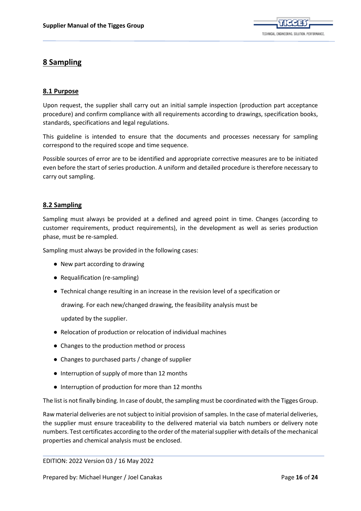

# <span id="page-15-0"></span>**[8 Sampling](#page-1-0)**

## <span id="page-15-1"></span>**[8.1 Purpose](#page-1-0)**

Upon request, the supplier shall carry out an initial sample inspection (production part acceptance procedure) and confirm compliance with all requirements according to drawings, specification books, standards, specifications and legal regulations.

This guideline is intended to ensure that the documents and processes necessary for sampling correspond to the required scope and time sequence.

Possible sources of error are to be identified and appropriate corrective measures are to be initiated even before the start of series production. A uniform and detailed procedure is therefore necessary to carry out sampling.

## <span id="page-15-2"></span>**[8.2 Sampling](#page-1-0)**

Sampling must always be provided at a defined and agreed point in time. Changes (according to customer requirements, product requirements), in the development as well as series production phase, must be re-sampled.

Sampling must always be provided in the following cases:

- New part according to drawing
- Requalification (re-sampling)
- Technical change resulting in an increase in the revision level of a specification or

drawing. For each new/changed drawing, the feasibility analysis must be

updated by the supplier.

- Relocation of production or relocation of individual machines
- Changes to the production method or process
- Changes to purchased parts / change of supplier
- Interruption of supply of more than 12 months
- Interruption of production for more than 12 months

The list is not finally binding. In case of doubt, the sampling must be coordinated with the Tigges Group.

Raw material deliveries are not subject to initial provision of samples. In the case of material deliveries, the supplier must ensure traceability to the delivered material via batch numbers or delivery note numbers. Test certificates according to the order of the material supplier with details of the mechanical properties and chemical analysis must be enclosed.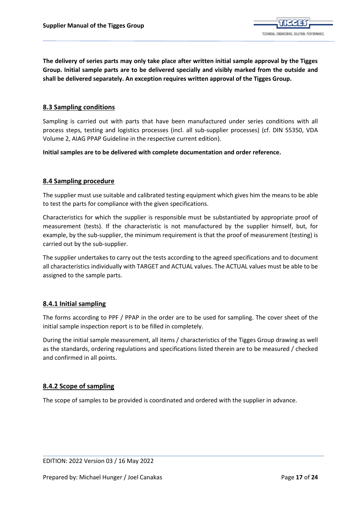**The delivery of series parts may only take place after written initial sample approval by the Tigges Group. Initial sample parts are to be delivered specially and visibly marked from the outside and shall be delivered separately. An exception requires written approval of the Tigges Group.**

## <span id="page-16-0"></span>**[8.3 Sampling conditions](#page-1-0)**

Sampling is carried out with parts that have been manufactured under series conditions with all process steps, testing and logistics processes (incl. all sub-supplier processes) (cf. DIN 55350, VDA Volume 2, AIAG PPAP Guideline in the respective current edition).

**Initial samples are to be delivered with complete documentation and order reference.**

## <span id="page-16-1"></span>**[8.4 Sampling procedure](#page-1-0)**

The supplier must use suitable and calibrated testing equipment which gives him the means to be able to test the parts for compliance with the given specifications.

Characteristics for which the supplier is responsible must be substantiated by appropriate proof of measurement (tests). If the characteristic is not manufactured by the supplier himself, but, for example, by the sub-supplier, the minimum requirement is that the proof of measurement (testing) is carried out by the sub-supplier.

The supplier undertakes to carry out the tests according to the agreed specifications and to document all characteristics individually with TARGET and ACTUAL values. The ACTUAL values must be able to be assigned to the sample parts.

## <span id="page-16-2"></span>**[8.4.1 Initial sampling](#page-1-0)**

The forms according to PPF / PPAP in the order are to be used for sampling. The cover sheet of the initial sample inspection report is to be filled in completely.

During the initial sample measurement, all items / characteristics of the Tigges Group drawing as well as the standards, ordering regulations and specifications listed therein are to be measured / checked and confirmed in all points.

## <span id="page-16-3"></span>**[8.4.2 Scope of sampling](#page-1-0)**

The scope of samples to be provided is coordinated and ordered with the supplier in advance.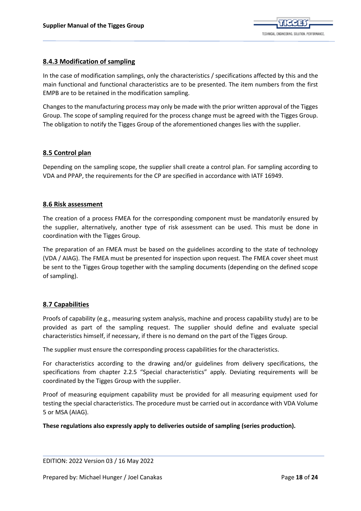

## <span id="page-17-0"></span>**[8.4.3 Modification of sampling](#page-1-0)**

In the case of modification samplings, only the characteristics / specifications affected by this and the main functional and functional characteristics are to be presented. The item numbers from the first EMPB are to be retained in the modification sampling.

Changes to the manufacturing process may only be made with the prior written approval of the Tigges Group. The scope of sampling required for the process change must be agreed with the Tigges Group. The obligation to notify the Tigges Group of the aforementioned changes lies with the supplier.

## <span id="page-17-1"></span>**[8.5 Control plan](#page-1-0)**

Depending on the sampling scope, the supplier shall create a control plan. For sampling according to VDA and PPAP, the requirements for the CP are specified in accordance with IATF 16949.

#### <span id="page-17-2"></span>**[8.6 Risk assessment](#page-1-0)**

The creation of a process FMEA for the corresponding component must be mandatorily ensured by the supplier, alternatively, another type of risk assessment can be used. This must be done in coordination with the Tigges Group.

The preparation of an FMEA must be based on the guidelines according to the state of technology (VDA / AIAG). The FMEA must be presented for inspection upon request. The FMEA cover sheet must be sent to the Tigges Group together with the sampling documents (depending on the defined scope of sampling).

## <span id="page-17-3"></span>**[8.7 Capabilities](#page-1-0)**

Proofs of capability (e.g., measuring system analysis, machine and process capability study) are to be provided as part of the sampling request. The supplier should define and evaluate special characteristics himself, if necessary, if there is no demand on the part of the Tigges Group.

The supplier must ensure the corresponding process capabilities for the characteristics.

For characteristics according to the drawing and/or guidelines from delivery specifications, the specifications from chapter 2.2.5 "Special characteristics" apply. Deviating requirements will be coordinated by the Tigges Group with the supplier.

Proof of measuring equipment capability must be provided for all measuring equipment used for testing the special characteristics. The procedure must be carried out in accordance with VDA Volume 5 or MSA (AIAG).

**These regulations also expressly apply to deliveries outside of sampling (series production).**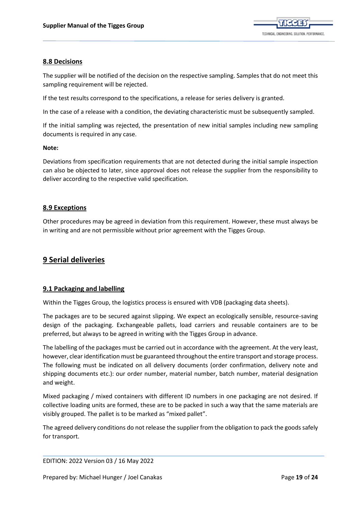

### <span id="page-18-0"></span>**[8.8 Decisions](#page-1-0)**

The supplier will be notified of the decision on the respective sampling. Samples that do not meet this sampling requirement will be rejected.

If the test results correspond to the specifications, a release for series delivery is granted.

In the case of a release with a condition, the deviating characteristic must be subsequently sampled.

If the initial sampling was rejected, the presentation of new initial samples including new sampling documents is required in any case.

#### **Note:**

Deviations from specification requirements that are not detected during the initial sample inspection can also be objected to later, since approval does not release the supplier from the responsibility to deliver according to the respective valid specification.

#### <span id="page-18-1"></span>**[8.9 Exceptions](#page-1-0)**

Other procedures may be agreed in deviation from this requirement. However, these must always be in writing and are not permissible without prior agreement with the Tigges Group.

## <span id="page-18-2"></span>**[9 Serial deliveries](#page-1-0)**

## <span id="page-18-3"></span>**[9.1 Packaging and labelling](#page-1-0)**

Within the Tigges Group, the logistics process is ensured with VDB (packaging data sheets).

The packages are to be secured against slipping. We expect an ecologically sensible, resource-saving design of the packaging. Exchangeable pallets, load carriers and reusable containers are to be preferred, but always to be agreed in writing with the Tigges Group in advance.

The labelling of the packages must be carried out in accordance with the agreement. At the very least, however, clear identification must be guaranteed throughout the entire transport and storage process. The following must be indicated on all delivery documents (order confirmation, delivery note and shipping documents etc.): our order number, material number, batch number, material designation and weight.

Mixed packaging / mixed containers with different ID numbers in one packaging are not desired. If collective loading units are formed, these are to be packed in such a way that the same materials are visibly grouped. The pallet is to be marked as "mixed pallet".

The agreed delivery conditions do not release the supplier from the obligation to pack the goods safely for transport.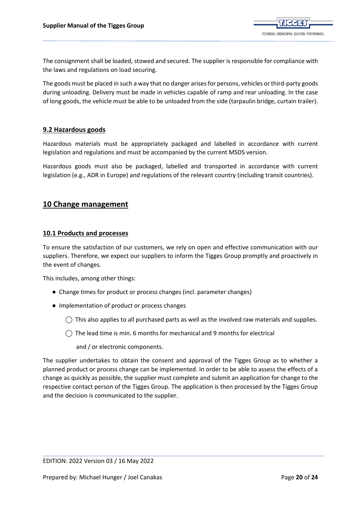

The consignment shall be loaded, stowed and secured. The supplier is responsible for compliance with the laws and regulations on load securing.

The goods must be placed in such a way that no danger arises for persons, vehicles or third-party goods during unloading. Delivery must be made in vehicles capable of ramp and rear unloading. In the case of long goods, the vehicle must be able to be unloaded from the side (tarpaulin bridge, curtain trailer).

#### <span id="page-19-0"></span>**[9.2 Hazardous goods](#page-1-0)**

Hazardous materials must be appropriately packaged and labelled in accordance with current legislation and regulations and must be accompanied by the current MSDS version.

Hazardous goods must also be packaged, labelled and transported in accordance with current legislation (e.g., ADR in Europe) and regulations of the relevant country (including transit countries).

## <span id="page-19-1"></span>**[10 Change management](#page-1-0)**

#### <span id="page-19-2"></span>**[10.1 Products and processes](#page-1-0)**

To ensure the satisfaction of our customers, we rely on open and effective communication with our suppliers. Therefore, we expect our suppliers to inform the Tigges Group promptly and proactively in the event of changes.

This includes, among other things:

- Change times for product or process changes (incl. parameter changes)
- Implementation of product or process changes
	- $\bigcirc$  This also applies to all purchased parts as well as the involved raw materials and supplies.
	- ⃝ The lead time is min. 6 months for mechanical and 9 months for electrical
		- and / or electronic components.

The supplier undertakes to obtain the consent and approval of the Tigges Group as to whether a planned product or process change can be implemented. In order to be able to assess the effects of a change as quickly as possible, the supplier must complete and submit an application for change to the respective contact person of the Tigges Group. The application is then processed by the Tigges Group and the decision is communicated to the supplier.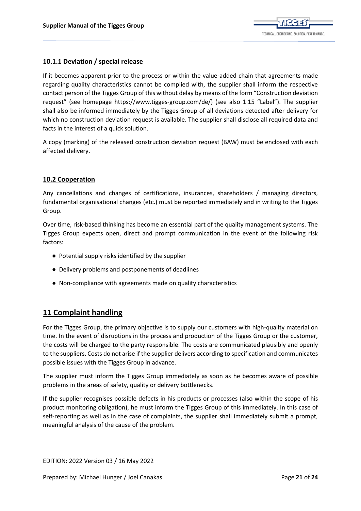

## <span id="page-20-0"></span>**[10.1.1 Deviation / special release](#page-1-0)**

If it becomes apparent prior to the process or within the value-added chain that agreements made regarding quality characteristics cannot be complied with, the supplier shall inform the respective contact person of the Tigges Group of this without delay by means of the form "Construction deviation request" (see homepage [https://www.tigges-group.com/de/\)](https://www.tigges-group.com/de/) (see also 1.15 "Label"). The supplier shall also be informed immediately by the Tigges Group of all deviations detected after delivery for which no construction deviation request is available. The supplier shall disclose all required data and facts in the interest of a quick solution.

A copy (marking) of the released construction deviation request (BAW) must be enclosed with each affected delivery.

## <span id="page-20-1"></span>**[10.2 Cooperation](#page-1-0)**

Any cancellations and changes of certifications, insurances, shareholders / managing directors, fundamental organisational changes (etc.) must be reported immediately and in writing to the Tigges Group.

Over time, risk-based thinking has become an essential part of the quality management systems. The Tigges Group expects open, direct and prompt communication in the event of the following risk factors:

- Potential supply risks identified by the supplier
- Delivery problems and postponements of deadlines
- Non-compliance with agreements made on quality characteristics

# <span id="page-20-2"></span>**[11 Complaint handling](#page-1-0)**

For the Tigges Group, the primary objective is to supply our customers with high-quality material on time. In the event of disruptions in the process and production of the Tigges Group or the customer, the costs will be charged to the party responsible. The costs are communicated plausibly and openly to the suppliers. Costs do not arise if the supplier delivers according to specification and communicates possible issues with the Tigges Group in advance.

The supplier must inform the Tigges Group immediately as soon as he becomes aware of possible problems in the areas of safety, quality or delivery bottlenecks.

If the supplier recognises possible defects in his products or processes (also within the scope of his product monitoring obligation), he must inform the Tigges Group of this immediately. In this case of self-reporting as well as in the case of complaints, the supplier shall immediately submit a prompt, meaningful analysis of the cause of the problem.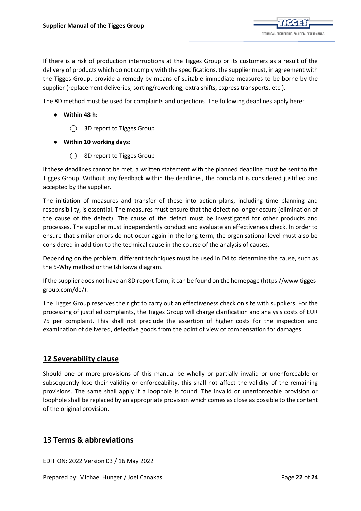If there is a risk of production interruptions at the Tigges Group or its customers as a result of the delivery of products which do not comply with the specifications, the supplier must, in agreement with the Tigges Group, provide a remedy by means of suitable immediate measures to be borne by the supplier (replacement deliveries, sorting/reworking, extra shifts, express transports, etc.).

The 8D method must be used for complaints and objections. The following deadlines apply here:

- **Within 48 h:**
	- ◯ 3D report to Tigges Group
- **Within 10 working days:**
	- ⃝ 8D report to Tigges Group

If these deadlines cannot be met, a written statement with the planned deadline must be sent to the Tigges Group. Without any feedback within the deadlines, the complaint is considered justified and accepted by the supplier.

The initiation of measures and transfer of these into action plans, including time planning and responsibility, is essential. The measures must ensure that the defect no longer occurs (elimination of the cause of the defect). The cause of the defect must be investigated for other products and processes. The supplier must independently conduct and evaluate an effectiveness check. In order to ensure that similar errors do not occur again in the long term, the organisational level must also be considered in addition to the technical cause in the course of the analysis of causes.

Depending on the problem, different techniques must be used in D4 to determine the cause, such as the 5-Why method or the Ishikawa diagram.

If the supplier does not have an 8D report form, it can be found on the homepage [\(https://www.tigges](https://www.tigges-group.com/de/)[group.com/de/\)](https://www.tigges-group.com/de/).

The Tigges Group reserves the right to carry out an effectiveness check on site with suppliers. For the processing of justified complaints, the Tigges Group will charge clarification and analysis costs of EUR 75 per complaint. This shall not preclude the assertion of higher costs for the inspection and examination of delivered, defective goods from the point of view of compensation for damages.

# <span id="page-21-0"></span>**[12 Severability clause](#page-1-0)**

Should one or more provisions of this manual be wholly or partially invalid or unenforceable or subsequently lose their validity or enforceability, this shall not affect the validity of the remaining provisions. The same shall apply if a loophole is found. The invalid or unenforceable provision or loophole shall be replaced by an appropriate provision which comes as close as possible to the content of the original provision.

# <span id="page-21-1"></span>**[13 Terms & abbreviations](#page-1-0)**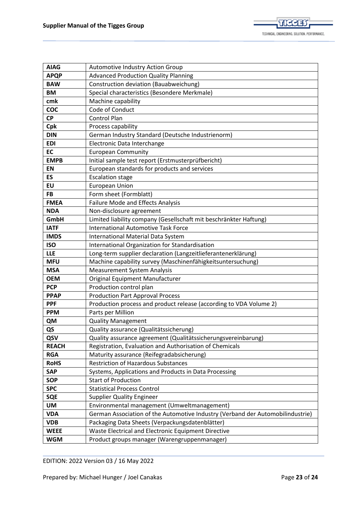

| <b>AIAG</b>  | <b>Automotive Industry Action Group</b>                                        |
|--------------|--------------------------------------------------------------------------------|
| <b>APQP</b>  | <b>Advanced Production Quality Planning</b>                                    |
| <b>BAW</b>   | Construction deviation (Bauabweichung)                                         |
| <b>BM</b>    | Special characteristics (Besondere Merkmale)                                   |
| cmk          | Machine capability                                                             |
| <b>COC</b>   | Code of Conduct                                                                |
| <b>CP</b>    | <b>Control Plan</b>                                                            |
| Cpk          | Process capability                                                             |
| <b>DIN</b>   | German Industry Standard (Deutsche Industrienorm)                              |
| <b>EDI</b>   | Electronic Data Interchange                                                    |
| <b>EC</b>    | <b>European Community</b>                                                      |
| <b>EMPB</b>  | Initial sample test report (Erstmusterprüfbericht)                             |
| <b>EN</b>    | European standards for products and services                                   |
| <b>ES</b>    | <b>Escalation stage</b>                                                        |
| EU           | <b>European Union</b>                                                          |
| <b>FB</b>    | Form sheet (Formblatt)                                                         |
| <b>FMEA</b>  | <b>Failure Mode and Effects Analysis</b>                                       |
| <b>NDA</b>   | Non-disclosure agreement                                                       |
| GmbH         | Limited liability company (Gesellschaft mit beschränkter Haftung)              |
| <b>IATF</b>  | <b>International Automotive Task Force</b>                                     |
| <b>IMDS</b>  | International Material Data System                                             |
| <b>ISO</b>   | International Organization for Standardisation                                 |
| <b>LLE</b>   | Long-term supplier declaration (Langzeitlieferantenerklärung)                  |
| <b>MFU</b>   | Machine capability survey (Maschinenfähigkeitsuntersuchung)                    |
| <b>MSA</b>   | <b>Measurement System Analysis</b>                                             |
| <b>OEM</b>   | Original Equipment Manufacturer                                                |
| <b>PCP</b>   | Production control plan                                                        |
| <b>PPAP</b>  | <b>Production Part Approval Process</b>                                        |
| <b>PPF</b>   | Production process and product release (according to VDA Volume 2)             |
| <b>PPM</b>   | Parts per Million                                                              |
| QM           | <b>Quality Management</b>                                                      |
| QS           | Quality assurance (Qualitätssicherung)                                         |
| QSV          | Quality assurance agreement (Qualitätssicherungsvereinbarung)                  |
| <b>REACH</b> | Registration, Evaluation and Authorisation of Chemicals                        |
| <b>RGA</b>   | Maturity assurance (Reifegradabsicherung)                                      |
| <b>RoHS</b>  | <b>Restriction of Hazardous Substances</b>                                     |
| <b>SAP</b>   | Systems, Applications and Products in Data Processing                          |
| <b>SOP</b>   | <b>Start of Production</b>                                                     |
| <b>SPC</b>   | <b>Statistical Process Control</b>                                             |
| <b>SQE</b>   | <b>Supplier Quality Engineer</b>                                               |
| UM           | Environmental management (Umweltmanagement)                                    |
| <b>VDA</b>   | German Association of the Automotive Industry (Verband der Automobilindustrie) |
| <b>VDB</b>   | Packaging Data Sheets (Verpackungsdatenblätter)                                |
| <b>WEEE</b>  | Waste Electrical and Electronic Equipment Directive                            |
| <b>WGM</b>   | Product groups manager (Warengruppenmanager)                                   |